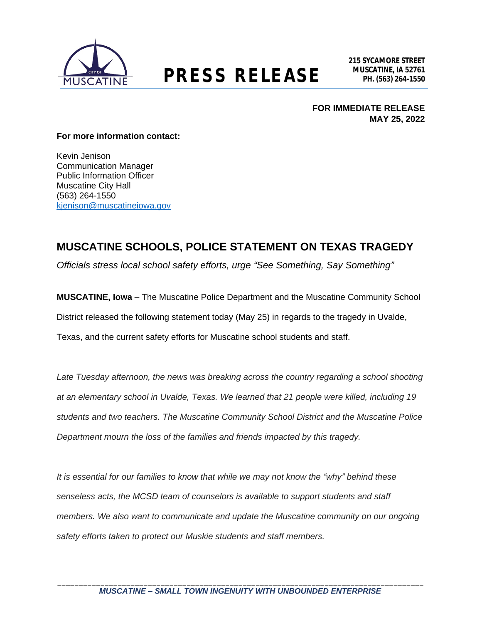

## **MUSCATINE, IA 52761 PRESS RELEASE PH. (563) 264-1550**

**FOR IMMEDIATE RELEASE MAY 25, 2022**

## **For more information contact:**

Kevin Jenison Communication Manager Public Information Officer Muscatine City Hall (563) 264-1550 [kjenison@muscatineiowa.gov](mailto:kjenison@muscatineiowa.gov)

## **MUSCATINE SCHOOLS, POLICE STATEMENT ON TEXAS TRAGEDY**

*Officials stress local school safety efforts, urge "See Something, Say Something"*

**MUSCATINE, Iowa** – The Muscatine Police Department and the Muscatine Community School District released the following statement today (May 25) in regards to the tragedy in Uvalde, Texas, and the current safety efforts for Muscatine school students and staff.

*Late Tuesday afternoon, the news was breaking across the country regarding a school shooting at an elementary school in Uvalde, Texas. We learned that 21 people were killed, including 19 students and two teachers. The Muscatine Community School District and the Muscatine Police Department mourn the loss of the families and friends impacted by this tragedy.*

*It is essential for our families to know that while we may not know the "why" behind these senseless acts, the MCSD team of counselors is available to support students and staff members. We also want to communicate and update the Muscatine community on our ongoing safety efforts taken to protect our Muskie students and staff members.*